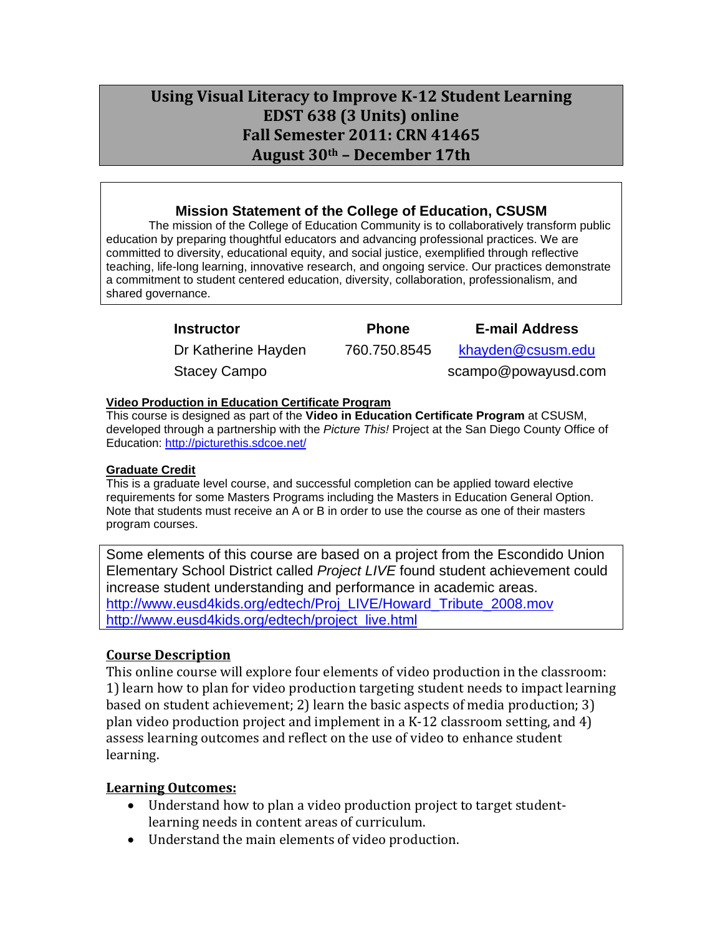# **Using Visual Literacy to Improve K‐12 Student Learning EDST 638 (3 Units) online Fall Semester 2011: CRN 41465 August 30th – December 17th**

### **Mission Statement of the College of Education, CSUSM**

The mission of the College of Education Community is to collaboratively transform public education by preparing thoughtful educators and advancing professional practices. We are committed to diversity, educational equity, and social justice, exemplified through reflective teaching, life-long learning, innovative research, and ongoing service. Our practices demonstrate a commitment to student centered education, diversity, collaboration, professionalism, and shared governance.

| <b>Instructor</b>   | <b>Phone</b> | <b>E-mail Address</b> |
|---------------------|--------------|-----------------------|
| Dr Katherine Hayden | 760.750.8545 | khayden@csusm.edu     |
| <b>Stacey Campo</b> |              | scampo@powayusd.com   |

### **Video Production in Education Certificate Program**

This course is designed as part of the **Video in Education Certificate Program** at CSUSM, developed through a partnership with the *Picture This!* Project at the San Diego County Office of Education: http://picturethis.sdcoe.net/

### **Graduate Credit**

program courses. This is a graduate level course, and successful completion can be applied toward elective requirements for some Masters Programs including the Masters in Education General Option. Note that students must receive an A or B in order to use the course as one of their masters

Some elements of this course are based on a project from the Escondido Union Elementary School District called *Project LIVE* found student achievement could increase student understanding and performance in academic areas. http://www.eusd4kids.org/edtech/Proj\_LIVE/Howard\_Tribute\_2008.mov http://www.eusd4kids.org/edtech/project\_live.html

### **Course Description**

This online course will explore four elements of video production in the classroom: 1) learn how to plan for video production targeting student needs to impact learning based on student achievement; 2) learn the basic aspects of media production; 3) plan video production project and implement in a K‐12 classroom setting, and 4) assess learning outcomes and reflect on the use of video to enhance student learning.

### **Learning Outcomes:**

- Understand how to plan a video production project to target student learning needs in content areas of curriculum.
- Understand the main elements of video production.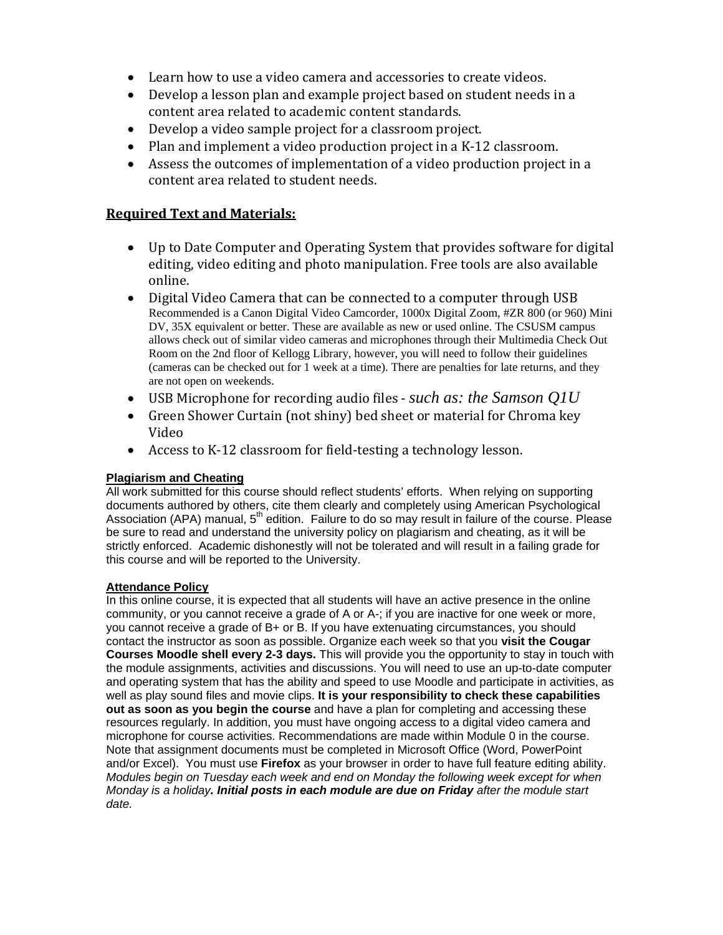- Learn how to use a video camera and accessories to create videos.
- Develop a lesson plan and example project based on student needs in a content area related to academic content standards.
- Develop a video sample project for a classroom project.
- Plan and implement a video production project in a K-12 classroom.
- Assess the outcomes of implementation of a video production project in a content area related to student needs.

### **Required Text and Materials:**

- Up to Date Computer and Operating System that provides software for digital editing, video editing and photo manipulation. Free tools are also available online.
- Digital Video Camera that can be connected to a computer through USB Recommended is a Canon Digital Video Camcorder, 1000x Digital Zoom, #ZR 800 (or 960) Mini DV, 35X equivalent or better. These are available as new or used online. The CSUSM campus allows check out of similar video cameras and microphones through their Multimedia Check Out Room on the 2nd floor of Kellogg Library, however, you will need to follow their guidelines (cameras can be checked out for 1 week at a time). There are penalties for late returns, and they are not open on weekends.
- USB Microphone for recording audio files ‐*such as: the Samson Q1U*
- Green Shower Curtain (not shiny) bed sheet or material for Chroma key Video
- Access to K-12 classroom for field-testing a technology lesson.

#### **Plagiarism and Cheating**

All work submitted for this course should reflect students' efforts. When relying on supporting documents authored by others, cite them clearly and completely using American Psychological Association (APA) manual,  $5<sup>th</sup>$  edition. Failure to do so may result in failure of the course. Please be sure to read and understand the university policy on plagiarism and cheating, as it will be strictly enforced. Academic dishonestly will not be tolerated and will result in a failing grade for this course and will be reported to the University.

#### **Attendance Policy**

In this online course, it is expected that all students will have an active presence in the online community, or you cannot receive a grade of A or A-; if you are inactive for one week or more, you cannot receive a grade of B+ or B. If you have extenuating circumstances, you should contact the instructor as soon as possible. Organize each week so that you **visit the Cougar Courses Moodle shell every 2-3 days.** This will provide you the opportunity to stay in touch with the module assignments, activities and discussions. You will need to use an up-to-date computer and operating system that has the ability and speed to use Moodle and participate in activities, as well as play sound files and movie clips. **It is your responsibility to check these capabilities out as soon as you begin the course** and have a plan for completing and accessing these resources regularly. In addition, you must have ongoing access to a digital video camera and microphone for course activities. Recommendations are made within Module 0 in the course. Note that assignment documents must be completed in Microsoft Office (Word, PowerPoint and/or Excel). You must use **Firefox** as your browser in order to have full feature editing ability. *Modules begin on Tuesday each week and end on Monday the following week except for when Monday is a holiday. Initial posts in each module are due on Friday after the module start date.*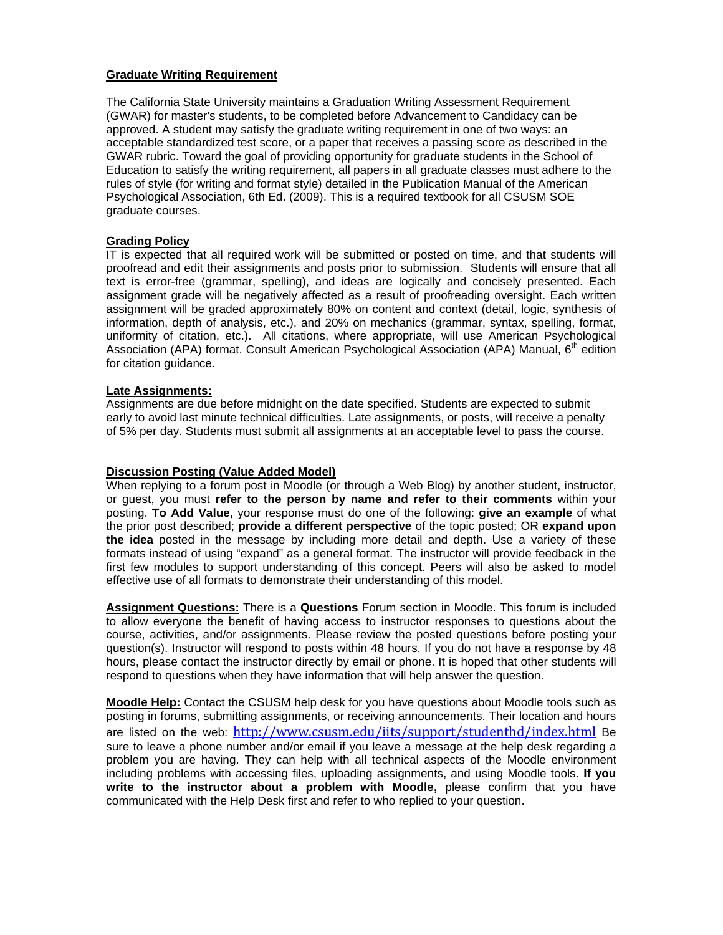#### **Graduate Writing Requirement**

The California State University maintains a Graduation Writing Assessment Requirement (GWAR) for master's students, to be completed before Advancement to Candidacy can be approved. A student may satisfy the graduate writing requirement in one of two ways: an acceptable standardized test score, or a paper that receives a passing score as described in the GWAR rubric. Toward the goal of providing opportunity for graduate students in the School of Education to satisfy the writing requirement, all papers in all graduate classes must adhere to the rules of style (for writing and format style) detailed in the Publication Manual of the American Psychological Association, 6th Ed. (2009). This is a required textbook for all CSUSM SOE graduate courses.

#### **Grading Policy**

IT is expected that all required work will be submitted or posted on time, and that students will proofread and edit their assignments and posts prior to submission. Students will ensure that all text is error-free (grammar, spelling), and ideas are logically and concisely presented. Each assignment grade will be negatively affected as a result of proofreading oversight. Each written assignment will be graded approximately 80% on content and context (detail, logic, synthesis of information, depth of analysis, etc.), and 20% on mechanics (grammar, syntax, spelling, format, uniformity of citation, etc.). All citations, where appropriate, will use American Psychological Association (APA) format. Consult American Psychological Association (APA) Manual, 6<sup>th</sup> edition for citation guidance.

#### **Late Assignments:**

Assignments are due before midnight on the date specified. Students are expected to submit early to avoid last minute technical difficulties. Late assignments, or posts, will receive a penalty of 5% per day. Students must submit all assignments at an acceptable level to pass the course.

#### **Discussion Posting (Value Added Model)**

When replying to a forum post in Moodle (or through a Web Blog) by another student, instructor, or guest, you must **refer to the person by name and refer to their comments** within your posting. **To Add Value**, your response must do one of the following: **give an example** of what the prior post described; **provide a different perspective** of the topic posted; OR **expand upon the idea** posted in the message by including more detail and depth. Use a variety of these formats instead of using "expand" as a general format. The instructor will provide feedback in the first few modules to support understanding of this concept. Peers will also be asked to model effective use of all formats to demonstrate their understanding of this model.

**Assignment Questions:** There is a **Questions** Forum section in Moodle. This forum is included to allow everyone the benefit of having access to instructor responses to questions about the course, activities, and/or assignments. Please review the posted questions before posting your question(s). Instructor will respond to posts within 48 hours. If you do not have a response by 48 hours, please contact the instructor directly by email or phone. It is hoped that other students will respond to questions when they have information that will help answer the question.

**Moodle Help:** Contact the CSUSM help desk for you have questions about Moodle tools such as posting in forums, submitting assignments, or receiving announcements. Their location and hours are listed on the web: http://www.csusm.edu/iits/support/studenthd/index.html Be sure to leave a phone number and/or email if you leave a message at the help desk regarding a problem you are having. They can help with all technical aspects of the Moodle environment including problems with accessing files, uploading assignments, and using Moodle tools. **If you write to the instructor about a problem with Moodle,** please confirm that you have communicated with the Help Desk first and refer to who replied to your question.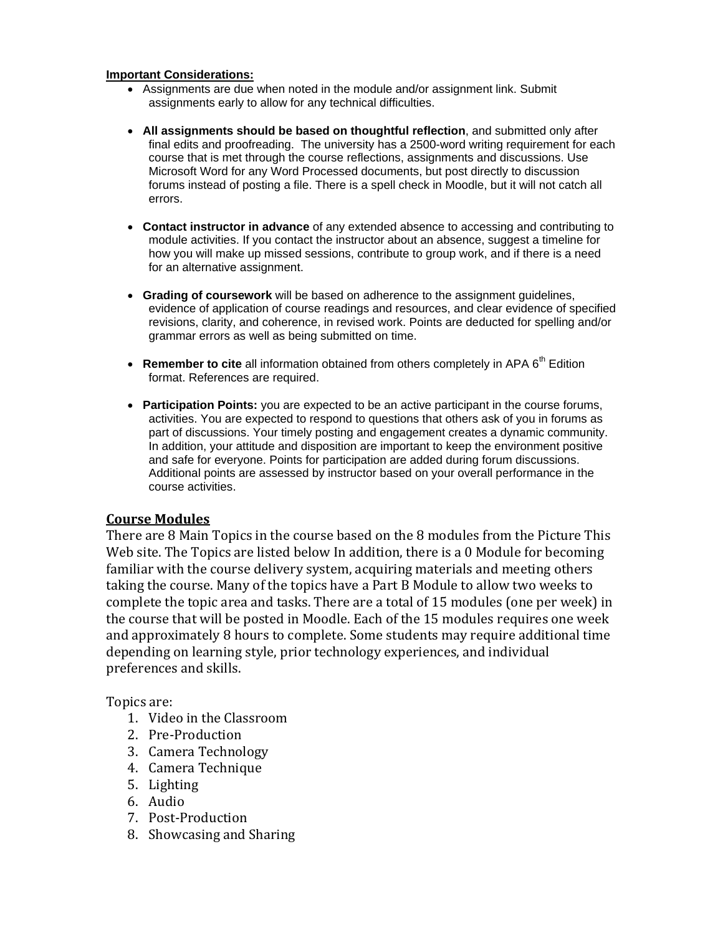### **Important Considerations:**

- Assignments are due when noted in the module and/or assignment link. Submit assignments early to allow for any technical difficulties.
- **All assignments should be based on thoughtful reflection**, and submitted only after final edits and proofreading. The university has a 2500-word writing requirement for each course that is met through the course reflections, assignments and discussions. Use Microsoft Word for any Word Processed documents, but post directly to discussion forums instead of posting a file. There is a spell check in Moodle, but it will not catch all errors.
- **Contact instructor in advance** of any extended absence to accessing and contributing to module activities. If you contact the instructor about an absence, suggest a timeline for how you will make up missed sessions, contribute to group work, and if there is a need for an alternative assignment.
- **Grading of coursework** will be based on adherence to the assignment guidelines, evidence of application of course readings and resources, and clear evidence of specified revisions, clarity, and coherence, in revised work. Points are deducted for spelling and/or grammar errors as well as being submitted on time.
- Remember to cite all information obtained from others completely in APA 6<sup>th</sup> Edition format. References are required.
- **Participation Points:** you are expected to be an active participant in the course forums, activities. You are expected to respond to questions that others ask of you in forums as part of discussions. Your timely posting and engagement creates a dynamic community. In addition, your attitude and disposition are important to keep the environment positive and safe for everyone. Points for participation are added during forum discussions. Additional points are assessed by instructor based on your overall performance in the course activities.

### **Course Modules**

 complete the topic area and tasks. There are a total of 15 modules (one per week) in There are 8 Main Topics in the course based on the 8 modules from the Picture This Web site. The Topics are listed below In addition, there is a 0 Module for becoming familiar with the course delivery system, acquiring materials and meeting others taking the course. Many of the topics have a Part B Module to allow two weeks to the course that will be posted in Moodle. Each of the 15 modules requires one week and approximately 8 hours to complete. Some students may require additional time depending on learning style, prior technology experiences, and individual preferences and skills.

Topics are:

- 1. Video in the Classroom
- 2. Pre‐Production
- 3. Camera Technology
- 4. Camera Technique
- 5. Lighting
- 6. Audio
- 7. Post‐Production
- 8. Showcasing and Sharing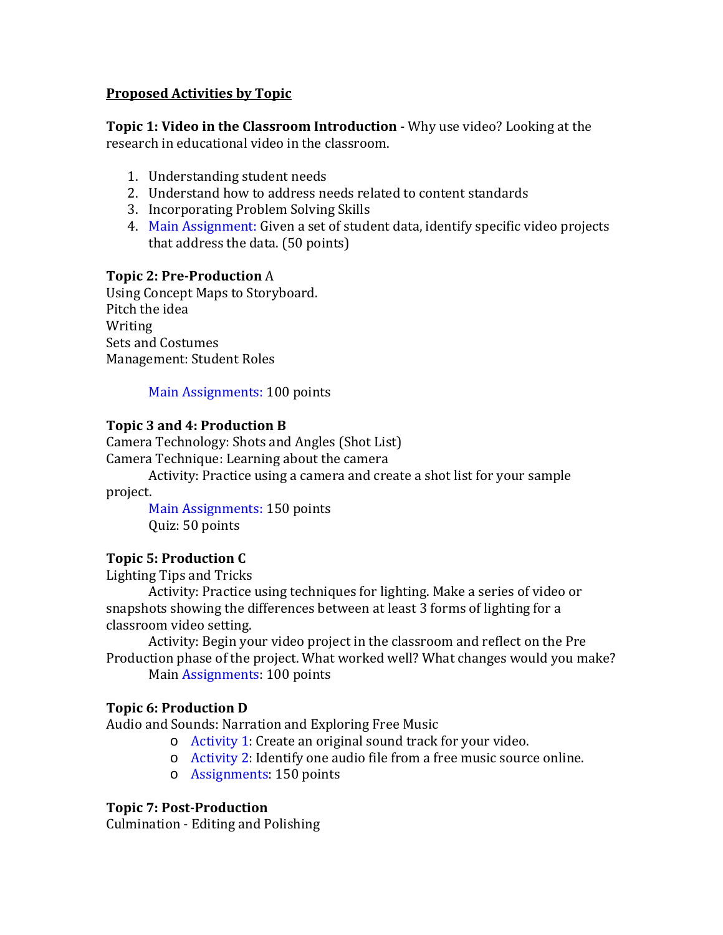### **Proposed Activities by Topic**

 **Topic 1: Video in the Classroom Introduction** ‐ Why use video? Looking at the research in educational video in the classroom.

- 1. Understanding student needs
- 2. Understand how to address needs related to content standards
- 3. Incorporating Problem Solving Skills
- 4. Main Assignment: Given a set of student data, identify specific video projects that address the data. (50 points)

### **Topic 2: Pre‐Production** A

Using Concept Maps to Storyboard. Pitch the idea Writing Sets and Costumes Management: Student Roles

Main Assignments: 100 points

### **Topic 3 and 4: Production B**

Camera Technology: Shots and Angles (Shot List) Camera Technique: Learning about the camera

Activity: Practice using a camera and create a shot list for your sample project.

Main Assignments: 150 points Quiz: 50 points

# **Topic 5: Production C**

Lighting Tips and Tricks

Activity: Practice using techniques for lighting. Make a series of video or snapshots showing the differences between at least 3 forms of lighting for a classroom video setting.

Activity: Begin your video project in the classroom and reflect on the Pre Production phase of the project. What worked well? What changes would you make?

Main Assignments: 100 points

### **Topic 6: Production D**

Audio and Sounds: Narration and Exploring Free Music

- o Activity 1: Create an original sound track for your video.
- o Activity 2: Identify one audio file from a free music source online.
- o Assignments: 150 points

### **Topic 7: Post‐Production**

Culmination ‐ Editing and Polishing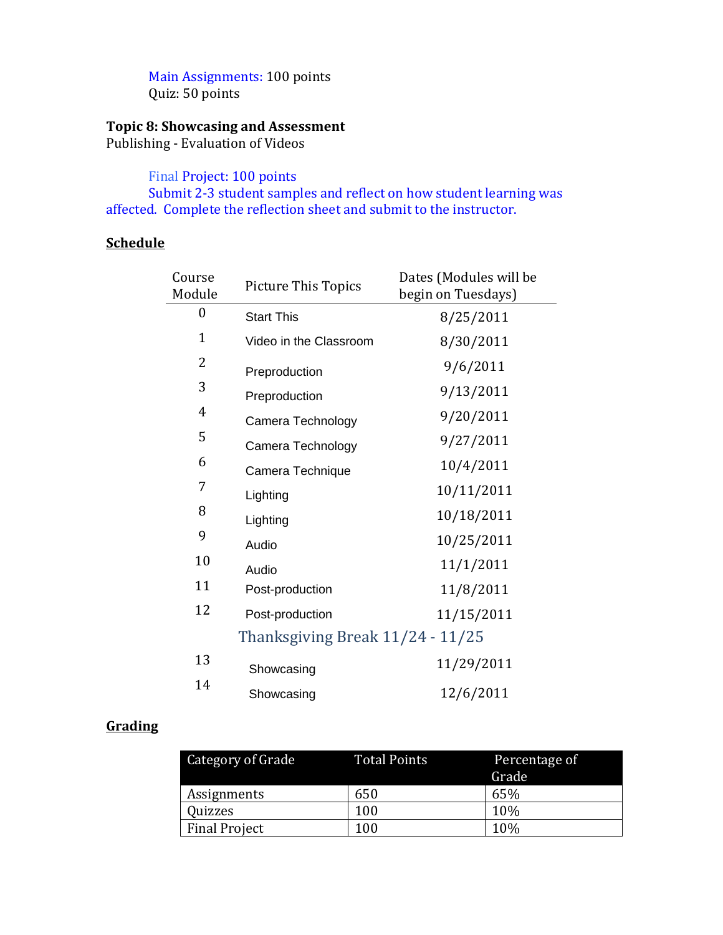Main Assignments: 100 points Quiz: 50 points

### **Topic 8: Showcasing and Assessment**

Publishing ‐ Evaluation of Videos

Final Project: 100 points

Submit 2‐3 student samples and reflect on how student learning was affected. Complete the reflection sheet and submit to the instructor.

# **Schedule**

| Course<br>Module | <b>Picture This Topics</b>       | Dates (Modules will be<br>begin on Tuesdays) |  |
|------------------|----------------------------------|----------------------------------------------|--|
| 0                | <b>Start This</b>                | 8/25/2011                                    |  |
| $\mathbf{1}$     | Video in the Classroom           | 8/30/2011                                    |  |
| 2                | Preproduction                    | 9/6/2011                                     |  |
| 3                | Preproduction                    | 9/13/2011                                    |  |
| $\overline{4}$   | Camera Technology                | 9/20/2011                                    |  |
| 5                | Camera Technology                | 9/27/2011                                    |  |
| 6                | Camera Technique                 | 10/4/2011                                    |  |
| 7                | Lighting                         | 10/11/2011                                   |  |
| 8                | Lighting                         | 10/18/2011                                   |  |
| 9                | Audio                            | 10/25/2011                                   |  |
| 10               | Audio                            | 11/1/2011                                    |  |
| 11               | Post-production                  | 11/8/2011                                    |  |
| 12               | Post-production                  | 11/15/2011                                   |  |
|                  | Thanksgiving Break 11/24 - 11/25 |                                              |  |
| 13               | Showcasing                       | 11/29/2011                                   |  |
| 14               | Showcasing                       | 12/6/2011                                    |  |

# **Grading**

| Category of Grade    | <b>Total Points</b> | Percentage of |  |
|----------------------|---------------------|---------------|--|
|                      |                     | Grade         |  |
| Assignments          | 650                 | 65%           |  |
| Quizzes              | 100                 | 10%           |  |
| <b>Final Project</b> | 100                 | 10%           |  |